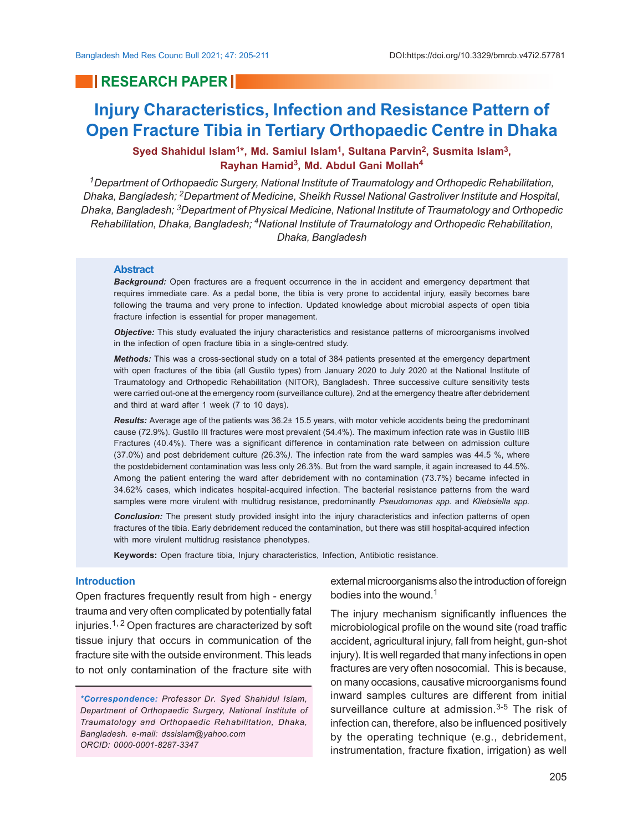## **RESEARCH PAPER**

# **Injury Characteristics, Infection and Resistance Pattern of Open Fracture Tibia in Tertiary Orthopaedic Centre in Dhaka**

## **Syed Shahidul Islam1\*, Md. Samiul Islam1, Sultana Parvin2, Susmita Islam3, Rayhan Hamid<sup>3</sup> , Md. Abdul Gani Mollah<sup>4</sup>**

*<sup>1</sup>Department of Orthopaedic Surgery, National Institute of Traumatology and Orthopedic Rehabilitation, Dhaka, Bangladesh; 2Department of Medicine, Sheikh Russel National Gastroliver Institute and Hospital, Dhaka, Bangladesh; 3Department of Physical Medicine, National Institute of Traumatology and Orthopedic Rehabilitation, Dhaka, Bangladesh; 4National Institute of Traumatology and Orthopedic Rehabilitation, Dhaka, Bangladesh*

### **Abstract**

*Background:* Open fractures are a frequent occurrence in the in accident and emergency department that requires immediate care. As a pedal bone, the tibia is very prone to accidental injury, easily becomes bare following the trauma and very prone to infection. Updated knowledge about microbial aspects of open tibia fracture infection is essential for proper management.

*Objective:* This study evaluated the injury characteristics and resistance patterns of microorganisms involved in the infection of open fracture tibia in a single-centred study.

*Methods:* This was a cross-sectional study on a total of 384 patients presented at the emergency department with open fractures of the tibia (all Gustilo types) from January 2020 to July 2020 at the National Institute of Traumatology and Orthopedic Rehabilitation (NITOR), Bangladesh. Three successive culture sensitivity tests were carried out-one at the emergency room (surveillance culture), 2nd at the emergency theatre after debridement and third at ward after 1 week (7 to 10 days).

*Results:* Average age of the patients was 36.2± 15.5 years, with motor vehicle accidents being the predominant cause (72.9%). Gustilo III fractures were most prevalent (54.4%). The maximum infection rate was in Gustilo IIIB Fractures (40.4%). There was a significant difference in contamination rate between on admission culture (37.0%) and post debridement culture *(*26.3%*).* The infection rate from the ward samples was 44.5 %, where the postdebidement contamination was less only 26.3%. But from the ward sample, it again increased to 44.5%. Among the patient entering the ward after debridement with no contamination (73.7%) became infected in 34.62% cases, which indicates hospital-acquired infection. The bacterial resistance patterns from the ward samples were more virulent with multidrug resistance, predominantly *Pseudomonas spp.* and *Kliebsiella spp.*

*Conclusion:* The present study provided insight into the injury characteristics and infection patterns of open fractures of the tibia. Early debridement reduced the contamination, but there was still hospital-acquired infection with more virulent multidrug resistance phenotypes.

**Keywords:** Open fracture tibia, Injury characteristics, Infection, Antibiotic resistance.

## **Introduction**

Open fractures frequently result from high - energy trauma and very often complicated by potentially fatal injuries.<sup>1, 2</sup> Open fractures are characterized by soft tissue injury that occurs in communication of the fracture site with the outside environment. This leads to not only contamination of the fracture site with

*\*Correspondence: Professor Dr. Syed Shahidul Islam, Department of Orthopaedic Surgery, National Institute of Traumatology and Orthopaedic Rehabilitation, Dhaka, Bangladesh. e-mail: dssislam@yahoo.com ORCID: 0000-0001-8287-3347*

external microorganisms also the introduction of foreign bodies into the wound.<sup>1</sup>

The injury mechanism significantly influences the microbiological profile on the wound site (road traffic accident, agricultural injury, fall from height, gun-shot injury). It is well regarded that many infections in open fractures are very often nosocomial. This is because, on many occasions, causative microorganisms found inward samples cultures are different from initial surveillance culture at admission.<sup>3-5</sup> The risk of infection can, therefore, also be influenced positively by the operating technique (e.g., debridement, instrumentation, fracture fixation, irrigation) as well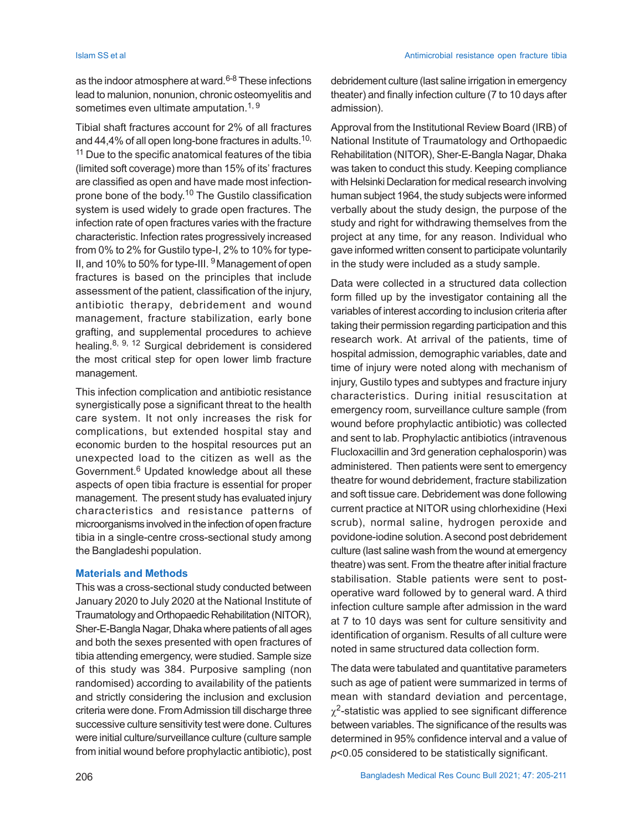as the indoor atmosphere at ward.<sup>6-8</sup> These infections lead to malunion, nonunion, chronic osteomyelitis and sometimes even ultimate amputation.<sup>1, 9</sup>

Tibial shaft fractures account for 2% of all fractures and 44,4% of all open long-bone fractures in adults.<sup>10,</sup> <sup>11</sup> Due to the specific anatomical features of the tibia (limited soft coverage) more than 15% of its' fractures are classified as open and have made most infectionprone bone of the body.<sup>10</sup> The Gustilo classification system is used widely to grade open fractures. The infection rate of open fractures varies with the fracture characteristic. Infection rates progressively increased from 0% to 2% for Gustilo type-I, 2% to 10% for type-II, and 10% to 50% for type-III. <sup>9</sup> Management of open fractures is based on the principles that include assessment of the patient, classification of the injury, antibiotic therapy, debridement and wound management, fracture stabilization, early bone grafting, and supplemental procedures to achieve healing.8, 9, 12 Surgical debridement is considered the most critical step for open lower limb fracture management.

This infection complication and antibiotic resistance synergistically pose a significant threat to the health care system. It not only increases the risk for complications, but extended hospital stay and economic burden to the hospital resources put an unexpected load to the citizen as well as the Government.<sup>6</sup> Updated knowledge about all these aspects of open tibia fracture is essential for proper management. The present study has evaluated injury characteristics and resistance patterns of microorganisms involved in the infection of open fracture tibia in a single-centre cross-sectional study among the Bangladeshi population.

## **Materials and Methods**

This was a cross-sectional study conducted between January 2020 to July 2020 at the National Institute of Traumatology and Orthopaedic Rehabilitation (NITOR), Sher-E-Bangla Nagar, Dhaka where patients of all ages and both the sexes presented with open fractures of tibia attending emergency, were studied. Sample size of this study was 384. Purposive sampling (non randomised) according to availability of the patients and strictly considering the inclusion and exclusion criteria were done. From Admission till discharge three successive culture sensitivity test were done. Cultures were initial culture/surveillance culture (culture sample from initial wound before prophylactic antibiotic), post debridement culture (last saline irrigation in emergency theater) and finally infection culture (7 to 10 days after admission).

Approval from the Institutional Review Board (IRB) of National Institute of Traumatology and Orthopaedic Rehabilitation (NITOR), Sher-E-Bangla Nagar, Dhaka was taken to conduct this study. Keeping compliance with Helsinki Declaration for medical research involving human subject 1964, the study subjects were informed verbally about the study design, the purpose of the study and right for withdrawing themselves from the project at any time, for any reason. Individual who gave informed written consent to participate voluntarily in the study were included as a study sample.

Data were collected in a structured data collection form filled up by the investigator containing all the variables of interest according to inclusion criteria after taking their permission regarding participation and this research work. At arrival of the patients, time of hospital admission, demographic variables, date and time of injury were noted along with mechanism of injury, Gustilo types and subtypes and fracture injury characteristics. During initial resuscitation at emergency room, surveillance culture sample (from wound before prophylactic antibiotic) was collected and sent to lab. Prophylactic antibiotics (intravenous Flucloxacillin and 3rd generation cephalosporin) was administered. Then patients were sent to emergency theatre for wound debridement, fracture stabilization and soft tissue care. Debridement was done following current practice at NITOR using chlorhexidine (Hexi scrub), normal saline, hydrogen peroxide and povidone-iodine solution. A second post debridement culture (last saline wash from the wound at emergency theatre) was sent. From the theatre after initial fracture stabilisation. Stable patients were sent to postoperative ward followed by to general ward. A third infection culture sample after admission in the ward at 7 to 10 days was sent for culture sensitivity and identification of organism. Results of all culture were noted in same structured data collection form.

The data were tabulated and quantitative parameters such as age of patient were summarized in terms of mean with standard deviation and percentage,  $\chi^2$ -statistic was applied to see significant difference between variables. The significance of the results was determined in 95% confidence interval and a value of *p*<0.05 considered to be statistically significant.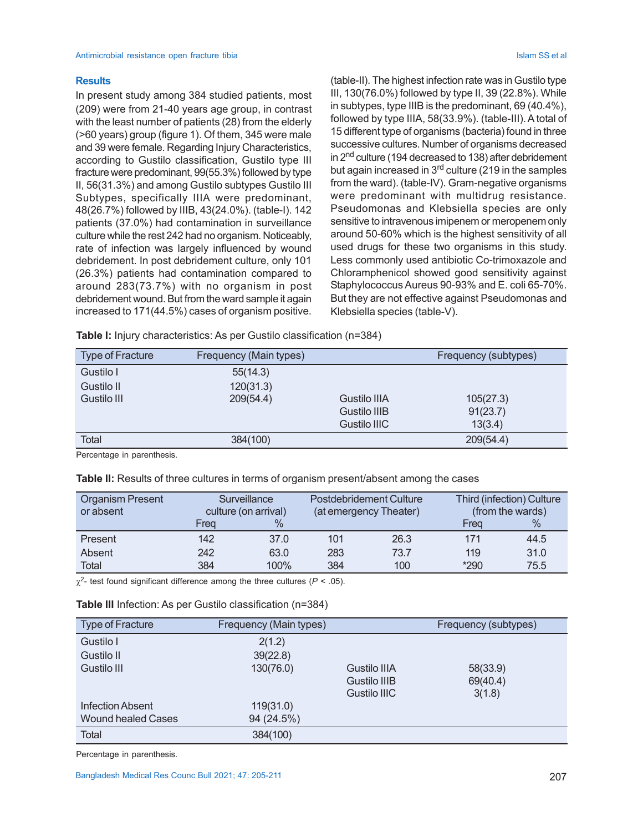## **Results**

In present study among 384 studied patients, most (209) were from 21-40 years age group, in contrast with the least number of patients (28) from the elderly (>60 years) group (figure 1). Of them, 345 were male and 39 were female. Regarding Injury Characteristics, according to Gustilo classification, Gustilo type III fracture were predominant, 99(55.3%) followed by type II, 56(31.3%) and among Gustilo subtypes Gustilo III Subtypes, specifically IIIA were predominant, 48(26.7%) followed by IIIB, 43(24.0%). (table-I). 142 patients (37.0%) had contamination in surveillance culture while the rest 242 had no organism. Noticeably, rate of infection was largely influenced by wound debridement. In post debridement culture, only 101 (26.3%) patients had contamination compared to around 283(73.7%) with no organism in post debridement wound. But from the ward sample it again increased to 171(44.5%) cases of organism positive.

(table-II). The highest infection rate was in Gustilo type III, 130(76.0%) followed by type II, 39 (22.8%). While in subtypes, type IIIB is the predominant, 69 (40.4%), followed by type IIIA, 58(33.9%). (table-III). A total of 15 different type of organisms (bacteria) found in three successive cultures. Number of organisms decreased in 2<sup>nd</sup> culture (194 decreased to 138) after debridement but again increased in  $3<sup>rd</sup>$  culture (219 in the samples from the ward). (table-IV). Gram-negative organisms were predominant with multidrug resistance. Pseudomonas and Klebsiella species are only sensitive to intravenous imipenem or meropenem only around 50-60% which is the highest sensitivity of all used drugs for these two organisms in this study. Less commonly used antibiotic Co-trimoxazole and Chloramphenicol showed good sensitivity against Staphylococcus Aureus 90-93% and E. coli 65-70%. But they are not effective against Pseudomonas and Klebsiella species (table-V).

**Table I:** Injury characteristics: As per Gustilo classification (n=384)

| <b>Type of Fracture</b> | Frequency (Main types) |                     | Frequency (subtypes) |
|-------------------------|------------------------|---------------------|----------------------|
| Gustilo I               | 55(14.3)               |                     |                      |
| Gustilo II              | 120(31.3)              |                     |                      |
| Gustilo III             | 209(54.4)              | <b>Gustilo IIIA</b> | 105(27.3)            |
|                         |                        | Gustilo IIIB        | 91(23.7)             |
|                         |                        | Gustilo IIIC        | 13(3.4)              |
| Total                   | 384(100)               |                     | 209(54.4)            |

Percentage in parenthesis.

|  |  |  | Table II: Results of three cultures in terms of organism present/absent among the cases |
|--|--|--|-----------------------------------------------------------------------------------------|
|  |  |  |                                                                                         |

| <b>Organism Present</b><br>or absent |      | Surveillance<br>culture (on arrival) |     | <b>Postdebridement Culture</b><br>(at emergency Theater) | Third (infection) Culture<br>(from the wards) |      |  |
|--------------------------------------|------|--------------------------------------|-----|----------------------------------------------------------|-----------------------------------------------|------|--|
|                                      | Frea | $\%$                                 |     |                                                          | Freg                                          | $\%$ |  |
| Present                              | 142  | 37.0                                 | 101 | 26.3                                                     | 171                                           | 44.5 |  |
| Absent                               | 242  | 63.0                                 | 283 | 73.7                                                     | 119                                           | 31.0 |  |
| Total                                | 384  | 100%                                 | 384 | 100                                                      | $*290$                                        | 75.5 |  |

 $\chi^2$ - test found significant difference among the three cultures ( $P < .05$ ).

| Table III Infection: As per Gustilo classification (n=384) |  |  |  |  |  |
|------------------------------------------------------------|--|--|--|--|--|
|------------------------------------------------------------|--|--|--|--|--|

| <b>Type of Fracture</b>   | Frequency (Main types) |              | Frequency (subtypes) |
|---------------------------|------------------------|--------------|----------------------|
| Gustilo I                 | 2(1.2)                 |              |                      |
| Gustilo II                | 39(22.8)               |              |                      |
| Gustilo III               | 130(76.0)              | Gustilo IIIA | 58(33.9)             |
|                           |                        | Gustilo IIIB | 69(40.4)             |
|                           |                        | Gustilo IIIC | 3(1.8)               |
| Infection Absent          | 119(31.0)              |              |                      |
| <b>Wound healed Cases</b> | 94 (24.5%)             |              |                      |
| Total                     | 384(100)               |              |                      |

Percentage in parenthesis.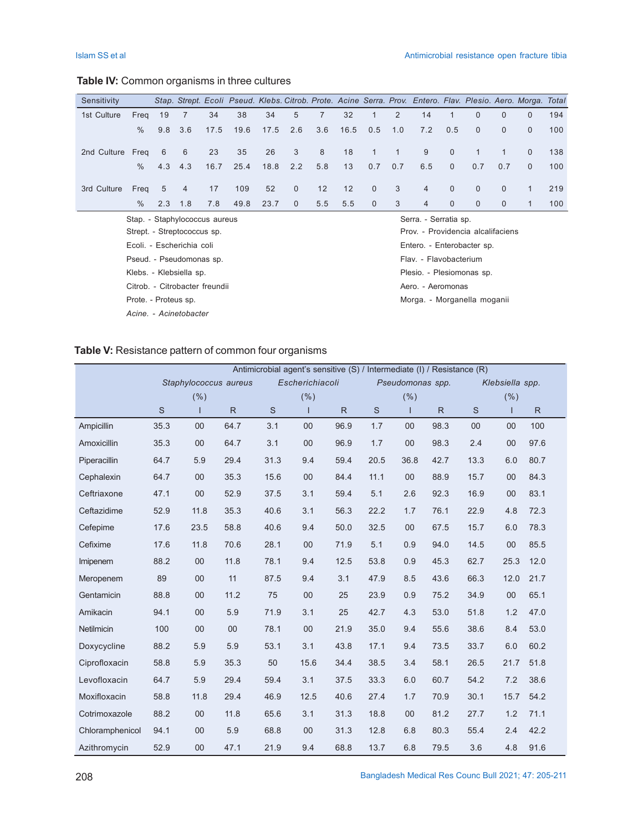## **Table IV:** Common organisms in three cultures

| Sensitivity                    |                      |     |                               |      |      |      |              |                |      |                        |     | Stap. Strept. Ecoli Pseud. Klebs. Citrob. Prote. Acine Serra. Prov. Entero. Flav. Plesio. Aero. Morga. Total |              |              |              |              |     |
|--------------------------------|----------------------|-----|-------------------------------|------|------|------|--------------|----------------|------|------------------------|-----|--------------------------------------------------------------------------------------------------------------|--------------|--------------|--------------|--------------|-----|
| 1st Culture                    | Freq                 | 19  | $\overline{7}$                | 34   | 38   | 34   | 5            | $\overline{7}$ | 32   | 1                      | 2   | 14                                                                                                           | $\mathbf{1}$ | $\Omega$     | $\Omega$     | $\Omega$     | 194 |
|                                | $\frac{0}{0}$        | 9.8 | 3.6                           | 17.5 | 19.6 | 17.5 | 2.6          | 3.6            | 16.5 | 0.5                    | 1.0 | 7.2                                                                                                          | 0.5          | $\Omega$     | $\Omega$     | $\mathbf{0}$ | 100 |
| 2nd Culture                    | Freg                 | 6   | 6                             | 23   | 35   | 26   | 3            | 8              | 18   | $\mathbf{1}$           | 1   | 9                                                                                                            | $\mathbf{0}$ | $\mathbf{1}$ | $\mathbf{1}$ | $\mathbf{0}$ | 138 |
|                                | $\frac{0}{0}$        | 4.3 | 4.3                           | 16.7 | 25.4 | 18.8 | 2.2          | 5.8            | 13   | 0.7                    | 0.7 | 6.5                                                                                                          | $\mathbf{0}$ | 0.7          | 0.7          | $\Omega$     | 100 |
| 3rd Culture                    | Freq                 | 5   | $\overline{4}$                | 17   | 109  | 52   | $\mathbf{0}$ | 12             | 12   | $\mathbf{0}$           | 3   | $\overline{4}$                                                                                               | $\mathbf{0}$ | $\mathbf{0}$ | $\mathbf{0}$ | $\mathbf{1}$ | 219 |
|                                | $\%$                 | 2.3 | 1.8                           | 7.8  | 49.8 | 23.7 | $\Omega$     | 5.5            | 5.5  | $\mathbf{0}$           | 3   | $\overline{4}$                                                                                               | $\Omega$     | $\Omega$     | $\Omega$     | 1            | 100 |
|                                |                      |     | Stap. - Staphylococcus aureus |      |      |      |              |                |      |                        |     | Serra. - Serratia sp.                                                                                        |              |              |              |              |     |
|                                |                      |     | Strept. - Streptococcus sp.   |      |      |      |              |                |      |                        |     | Prov. - Providencia alcalifaciens                                                                            |              |              |              |              |     |
|                                |                      |     | Ecoli. - Escherichia coli     |      |      |      |              |                |      |                        |     | Entero. - Enterobacter sp.                                                                                   |              |              |              |              |     |
|                                |                      |     | Pseud. - Pseudomonas sp.      |      |      |      |              |                |      | Flav. - Flavobacterium |     |                                                                                                              |              |              |              |              |     |
|                                |                      |     | Klebs. - Klebsiella sp.       |      |      |      |              |                |      |                        |     | Plesio. - Plesiomonas sp.                                                                                    |              |              |              |              |     |
| Citrob. - Citrobacter freundii |                      |     |                               |      |      |      |              |                |      | Aero. - Aeromonas      |     |                                                                                                              |              |              |              |              |     |
|                                | Prote. - Proteus sp. |     |                               |      |      |      |              |                |      |                        |     | Morga. - Morganella moganii                                                                                  |              |              |              |              |     |
|                                |                      |     | Acine. - Acinetobacter        |      |      |      |              |                |      |                        |     |                                                                                                              |              |              |              |              |     |

## **Table V:** Resistance pattern of common four organisms

|                   | Antimicrobial agent's sensitive (S) / Intermediate (I) / Resistance (R) |      |                       |      |                 |              |      |                  |              |                 |      |              |
|-------------------|-------------------------------------------------------------------------|------|-----------------------|------|-----------------|--------------|------|------------------|--------------|-----------------|------|--------------|
|                   |                                                                         |      | Staphylococcus aureus |      | Escherichiacoli |              |      | Pseudomonas spp. |              | Klebsiella spp. |      |              |
|                   | (% )                                                                    |      |                       | (% ) |                 |              | (% ) |                  |              | (% )            |      |              |
|                   | S                                                                       |      | R.                    | S    | ı               | $\mathsf{R}$ | S    | I                | $\mathsf{R}$ | S               | ı    | $\mathsf{R}$ |
| Ampicillin        | 35.3                                                                    | 00   | 64.7                  | 3.1  | 00              | 96.9         | 1.7  | 00               | 98.3         | 00              | 00   | 100          |
| Amoxicillin       | 35.3                                                                    | 00   | 64.7                  | 3.1  | 00              | 96.9         | 1.7  | $00\,$           | 98.3         | 2.4             | 00   | 97.6         |
| Piperacillin      | 64.7                                                                    | 5.9  | 29.4                  | 31.3 | 9.4             | 59.4         | 20.5 | 36.8             | 42.7         | 13.3            | 6.0  | 80.7         |
| Cephalexin        | 64.7                                                                    | 00   | 35.3                  | 15.6 | 00              | 84.4         | 11.1 | 00               | 88.9         | 15.7            | 00   | 84.3         |
| Ceftriaxone       | 47.1                                                                    | 00   | 52.9                  | 37.5 | 3.1             | 59.4         | 5.1  | 2.6              | 92.3         | 16.9            | 00   | 83.1         |
| Ceftazidime       | 52.9                                                                    | 11.8 | 35.3                  | 40.6 | 3.1             | 56.3         | 22.2 | 1.7              | 76.1         | 22.9            | 4.8  | 72.3         |
| Cefepime          | 17.6                                                                    | 23.5 | 58.8                  | 40.6 | 9.4             | 50.0         | 32.5 | 00               | 67.5         | 15.7            | 6.0  | 78.3         |
| Cefixime          | 17.6                                                                    | 11.8 | 70.6                  | 28.1 | 00              | 71.9         | 5.1  | 0.9              | 94.0         | 14.5            | 00   | 85.5         |
| Imipenem          | 88.2                                                                    | 00   | 11.8                  | 78.1 | 9.4             | 12.5         | 53.8 | 0.9              | 45.3         | 62.7            | 25.3 | 12.0         |
| Meropenem         | 89                                                                      | 00   | 11                    | 87.5 | 9.4             | 3.1          | 47.9 | 8.5              | 43.6         | 66.3            | 12.0 | 21.7         |
| Gentamicin        | 88.8                                                                    | 00   | 11.2                  | 75   | 00              | 25           | 23.9 | 0.9              | 75.2         | 34.9            | 00   | 65.1         |
| Amikacin          | 94.1                                                                    | 00   | 5.9                   | 71.9 | 3.1             | 25           | 42.7 | 4.3              | 53.0         | 51.8            | 1.2  | 47.0         |
| <b>Netilmicin</b> | 100                                                                     | 00   | 00                    | 78.1 | 00              | 21.9         | 35.0 | 9.4              | 55.6         | 38.6            | 8.4  | 53.0         |
| Doxycycline       | 88.2                                                                    | 5.9  | 5.9                   | 53.1 | 3.1             | 43.8         | 17.1 | 9.4              | 73.5         | 33.7            | 6.0  | 60.2         |
| Ciprofloxacin     | 58.8                                                                    | 5.9  | 35.3                  | 50   | 15.6            | 34.4         | 38.5 | 3.4              | 58.1         | 26.5            | 21.7 | 51.8         |
| Levofloxacin      | 64.7                                                                    | 5.9  | 29.4                  | 59.4 | 3.1             | 37.5         | 33.3 | 6.0              | 60.7         | 54.2            | 7.2  | 38.6         |
| Moxifloxacin      | 58.8                                                                    | 11.8 | 29.4                  | 46.9 | 12.5            | 40.6         | 27.4 | 1.7              | 70.9         | 30.1            | 15.7 | 54.2         |
| Cotrimoxazole     | 88.2                                                                    | 00   | 11.8                  | 65.6 | 3.1             | 31.3         | 18.8 | 00               | 81.2         | 27.7            | 1.2  | 71.1         |
| Chloramphenicol   | 94.1                                                                    | 00   | 5.9                   | 68.8 | 00              | 31.3         | 12.8 | 6.8              | 80.3         | 55.4            | 2.4  | 42.2         |
| Azithromycin      | 52.9                                                                    | 00   | 47.1                  | 21.9 | 9.4             | 68.8         | 13.7 | 6.8              | 79.5         | 3.6             | 4.8  | 91.6         |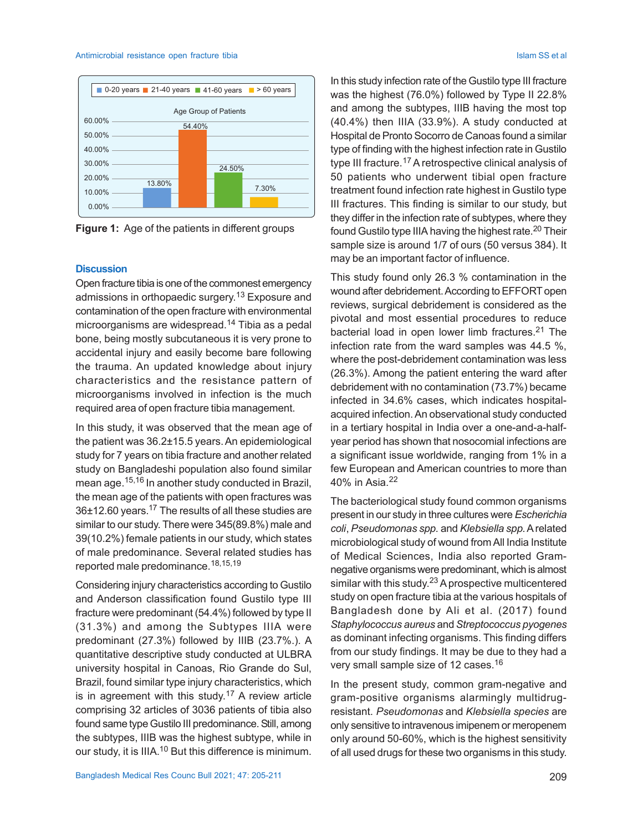#### Antimicrobial resistance open fracture tibia **Islam SS et al. Antimicrobial resistance** open fracture tibia



**Figure 1:** Age of the patients in different groups

### **Discussion**

Open fracture tibia is one of the commonest emergency admissions in orthopaedic surgery.<sup>13</sup> Exposure and contamination of the open fracture with environmental microorganisms are widespread.<sup>14</sup> Tibia as a pedal bone, being mostly subcutaneous it is very prone to accidental injury and easily become bare following the trauma. An updated knowledge about injury characteristics and the resistance pattern of microorganisms involved in infection is the much required area of open fracture tibia management.

In this study, it was observed that the mean age of the patient was 36.2±15.5 years. An epidemiological study for 7 years on tibia fracture and another related study on Bangladeshi population also found similar mean age.15,16 In another study conducted in Brazil, the mean age of the patients with open fractures was 36±12.60 years.17 The results of all these studies are similar to our study. There were 345(89.8%) male and 39(10.2%) female patients in our study, which states of male predominance. Several related studies has reported male predominance.<sup>18,15,19</sup>

Considering injury characteristics according to Gustilo and Anderson classification found Gustilo type III fracture were predominant (54.4%) followed by type II (31.3%) and among the Subtypes IIIA were predominant (27.3%) followed by IIIB (23.7%.). A quantitative descriptive study conducted at ULBRA university hospital in Canoas, Rio Grande do Sul, Brazil, found similar type injury characteristics, which is in agreement with this study.<sup>17</sup> A review article comprising 32 articles of 3036 patients of tibia also found same type Gustilo III predominance. Still, among the subtypes, IIIB was the highest subtype, while in our study, it is IIIA.<sup>10</sup> But this difference is minimum.

In this study infection rate of the Gustilo type III fracture was the highest (76.0%) followed by Type II 22.8% and among the subtypes, IIIB having the most top (40.4%) then IIIA (33.9%). A study conducted at Hospital de Pronto Socorro de Canoas found a similar type of finding with the highest infection rate in Gustilo type III fracture.<sup>17</sup> A retrospective clinical analysis of 50 patients who underwent tibial open fracture treatment found infection rate highest in Gustilo type III fractures. This finding is similar to our study, but they differ in the infection rate of subtypes, where they found Gustilo type IIIA having the highest rate.<sup>20</sup> Their sample size is around 1/7 of ours (50 versus 384). It may be an important factor of influence.

This study found only 26.3 % contamination in the wound after debridement. According to EFFORT open reviews, surgical debridement is considered as the pivotal and most essential procedures to reduce bacterial load in open lower limb fractures.21 The infection rate from the ward samples was 44.5 %, where the post-debridement contamination was less (26.3%). Among the patient entering the ward after debridement with no contamination (73.7%) became infected in 34.6% cases, which indicates hospitalacquired infection. An observational study conducted in a tertiary hospital in India over a one-and-a-halfyear period has shown that nosocomial infections are a significant issue worldwide, ranging from 1% in a few European and American countries to more than 40% in Asia.<sup>22</sup>

The bacteriological study found common organisms present in our study in three cultures were *Escherichia coli*, *Pseudomonas spp.* and *Klebsiella spp.* A related microbiological study of wound from All India Institute of Medical Sciences, India also reported Gramnegative organisms were predominant, which is almost similar with this study.<sup>23</sup> A prospective multicentered study on open fracture tibia at the various hospitals of Bangladesh done by Ali et al. (2017) found *Staphylococcus aureus* and *Streptococcus pyogenes* as dominant infecting organisms. This finding differs from our study findings. It may be due to they had a very small sample size of 12 cases.<sup>16</sup>

In the present study, common gram-negative and gram-positive organisms alarmingly multidrugresistant. *Pseudomonas* and *Klebsiella species* are only sensitive to intravenous imipenem or meropenem only around 50-60%, which is the highest sensitivity of all used drugs for these two organisms in this study.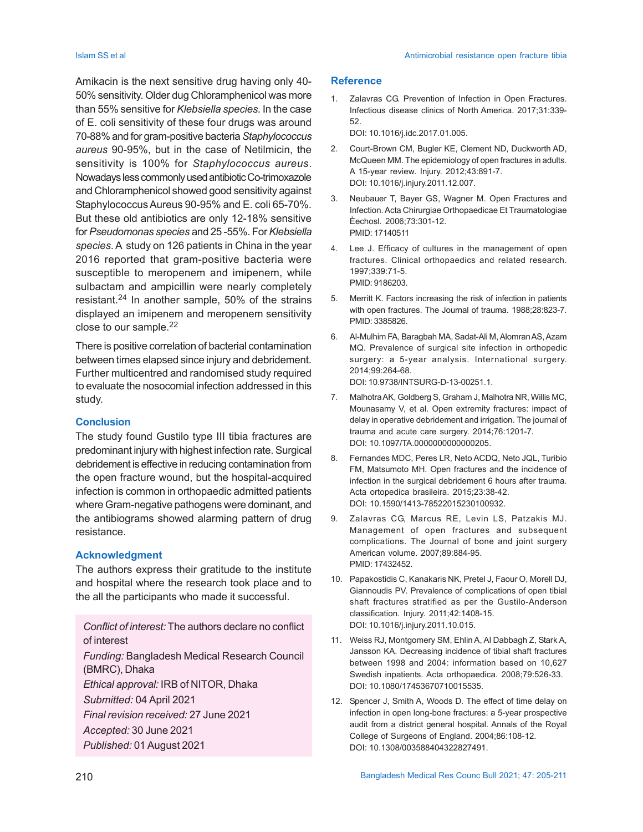Amikacin is the next sensitive drug having only 40- 50% sensitivity. Older dug Chloramphenicol was more than 55% sensitive for *Klebsiella species*. In the case of E. coli sensitivity of these four drugs was around 70-88% and for gram-positive bacteria *Staphylococcus aureus* 90-95%, but in the case of Netilmicin, the sensitivity is 100% for *Staphylococcus aureus*. Nowadays less commonly used antibiotic Co-trimoxazole and Chloramphenicol showed good sensitivity against Staphylococcus Aureus 90-95% and E. coli 65-70%. But these old antibiotics are only 12-18% sensitive for *Pseudomonas species* and 25 -55%. For *Klebsiella species*. A study on 126 patients in China in the year 2016 reported that gram-positive bacteria were susceptible to meropenem and imipenem, while sulbactam and ampicillin were nearly completely resistant.24 In another sample, 50% of the strains displayed an imipenem and meropenem sensitivity close to our sample.<sup>22</sup>

There is positive correlation of bacterial contamination between times elapsed since injury and debridement. Further multicentred and randomised study required to evaluate the nosocomial infection addressed in this study.

## **Conclusion**

The study found Gustilo type III tibia fractures are predominant injury with highest infection rate. Surgical debridement is effective in reducing contamination from the open fracture wound, but the hospital-acquired infection is common in orthopaedic admitted patients where Gram-negative pathogens were dominant, and the antibiograms showed alarming pattern of drug resistance.

## **Acknowledgment**

The authors express their gratitude to the institute and hospital where the research took place and to the all the participants who made it successful.

*Conflict of interest:* The authors declare no conflict of interest *Funding:* Bangladesh Medical Research Council (BMRC), Dhaka *Ethical approval:* IRB of NITOR, Dhaka *Submitted:* 04 April 2021 *Final revision received:* 27 June 2021 *Accepted:* 30 June 2021

*Published:* 01 August 2021

## **Reference**

1. Zalavras CG. Prevention of Infection in Open Fractures. Infectious disease clinics of North America. 2017;31:339- 52.

DOI: 10.1016/j.idc.2017.01.005.

- 2. Court-Brown CM, Bugler KE, Clement ND, Duckworth AD, McQueen MM. The epidemiology of open fractures in adults. A 15-year review. Injury. 2012;43:891-7. DOI: 10.1016/j.injury.2011.12.007.
- 3. Neubauer T, Bayer GS, Wagner M. Open Fractures and Infection. Acta Chirurgiae Orthopaedicae Et Traumatologiae Èechosl. 2006;73:301-12. PMID: 17140511
- 4. Lee J. Efficacy of cultures in the management of open fractures. Clinical orthopaedics and related research. 1997;339:71-5. PMID: 9186203.
- 5. Merritt K. Factors increasing the risk of infection in patients with open fractures. The Journal of trauma. 1988;28:823-7. PMID: 3385826.
- 6. Al-Mulhim FA, Baragbah MA, Sadat-Ali M, Alomran AS, Azam MQ. Prevalence of surgical site infection in orthopedic surgery: a 5-year analysis. International surgery. 2014;99:264-68.

DOI: 10.9738/INTSURG-D-13-00251.1.

- 7. Malhotra AK, Goldberg S, Graham J, Malhotra NR, Willis MC, Mounasamy V, et al. Open extremity fractures: impact of delay in operative debridement and irrigation. The journal of trauma and acute care surgery. 2014;76:1201-7. DOI: 10.1097/TA.0000000000000205.
- 8. Fernandes MDC, Peres LR, Neto ACDQ, Neto JQL, Turibio FM, Matsumoto MH. Open fractures and the incidence of infection in the surgical debridement 6 hours after trauma. Acta ortopedica brasileira. 2015;23:38-42. DOI: 10.1590/1413-78522015230100932.
- 9. Zalavras CG, Marcus RE, Levin LS, Patzakis MJ. Management of open fractures and subsequent complications. The Journal of bone and joint surgery American volume. 2007;89:884-95. PMID: 17432452.
- 10. Papakostidis C, Kanakaris NK, Pretel J, Faour O, Morell DJ, Giannoudis PV. Prevalence of complications of open tibial shaft fractures stratified as per the Gustilo-Anderson classification. Injury. 2011;42:1408-15. DOI: 10.1016/j.injury.2011.10.015.
- 11. Weiss RJ, Montgomery SM, Ehlin A, Al Dabbagh Z, Stark A, Jansson KA. Decreasing incidence of tibial shaft fractures between 1998 and 2004: information based on 10,627 Swedish inpatients. Acta orthopaedica. 2008;79:526-33. DOI: 10.1080/17453670710015535.
- 12. Spencer J, Smith A, Woods D. The effect of time delay on infection in open long-bone fractures: a 5-year prospective audit from a district general hospital. Annals of the Royal College of Surgeons of England. 2004;86:108-12. DOI: 10.1308/003588404322827491.